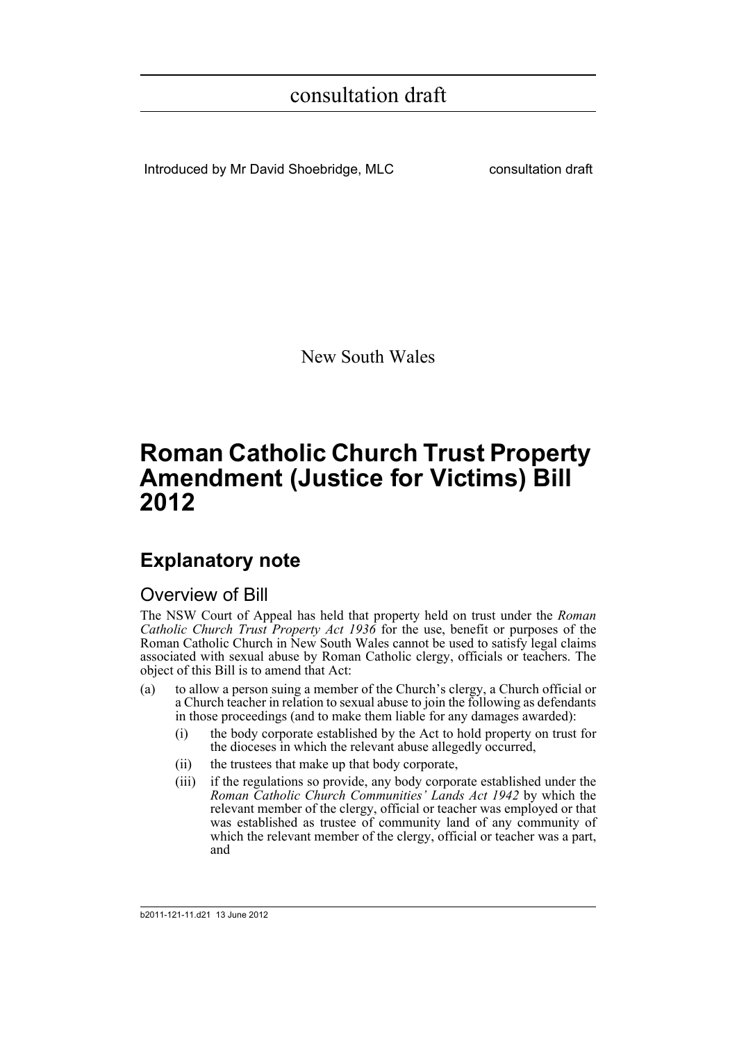Introduced by Mr David Shoebridge, MLC consultation draft

New South Wales

## **Roman Catholic Church Trust Property Amendment (Justice for Victims) Bill 2012**

## **Explanatory note**

### Overview of Bill

The NSW Court of Appeal has held that property held on trust under the *Roman Catholic Church Trust Property Act 1936* for the use, benefit or purposes of the Roman Catholic Church in New South Wales cannot be used to satisfy legal claims associated with sexual abuse by Roman Catholic clergy, officials or teachers. The object of this Bill is to amend that Act:

- (a) to allow a person suing a member of the Church's clergy, a Church official or a Church teacher in relation to sexual abuse to join the following as defendants in those proceedings (and to make them liable for any damages awarded):
	- (i) the body corporate established by the Act to hold property on trust for the dioceses in which the relevant abuse allegedly occurred,
	- (ii) the trustees that make up that body corporate,
	- (iii) if the regulations so provide, any body corporate established under the *Roman Catholic Church Communities' Lands Act 1942* by which the relevant member of the clergy, official or teacher was employed or that was established as trustee of community land of any community of which the relevant member of the clergy, official or teacher was a part, and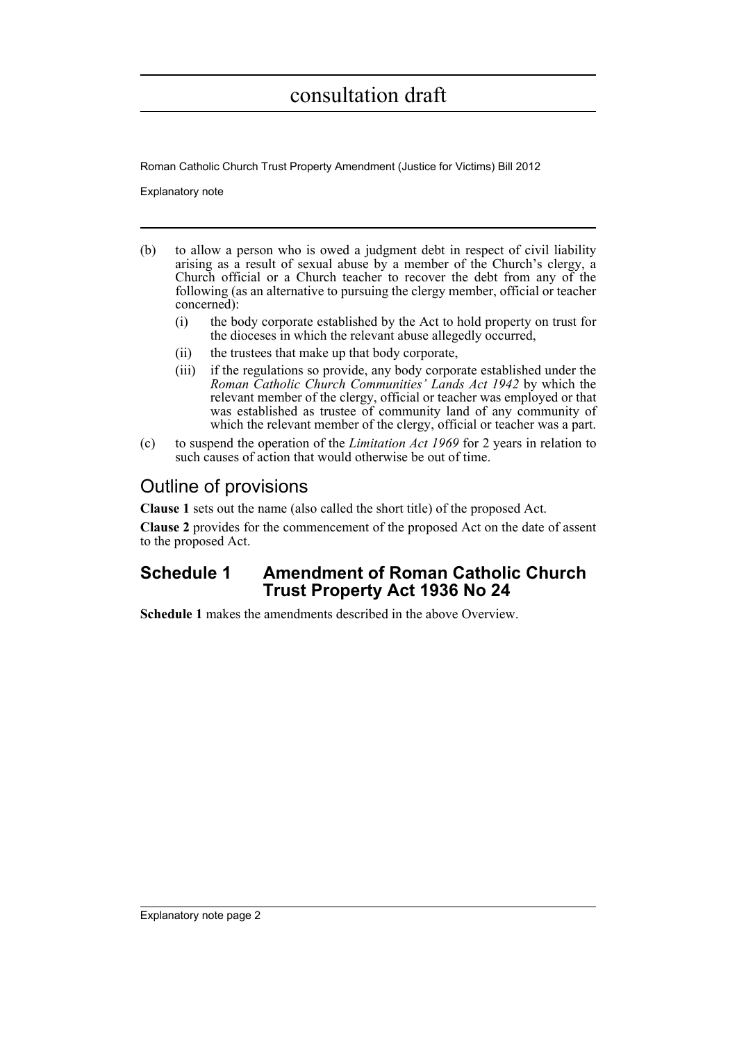Roman Catholic Church Trust Property Amendment (Justice for Victims) Bill 2012

Explanatory note

- (b) to allow a person who is owed a judgment debt in respect of civil liability arising as a result of sexual abuse by a member of the Church's clergy, a Church official or a Church teacher to recover the debt from any of the following (as an alternative to pursuing the clergy member, official or teacher concerned):
	- (i) the body corporate established by the Act to hold property on trust for the dioceses in which the relevant abuse allegedly occurred,
	- (ii) the trustees that make up that body corporate,
	- (iii) if the regulations so provide, any body corporate established under the *Roman Catholic Church Communities' Lands Act 1942* by which the relevant member of the clergy, official or teacher was employed or that was established as trustee of community land of any community of which the relevant member of the clergy, official or teacher was a part.
- (c) to suspend the operation of the *Limitation Act 1969* for 2 years in relation to such causes of action that would otherwise be out of time.

### Outline of provisions

**Clause 1** sets out the name (also called the short title) of the proposed Act.

**Clause 2** provides for the commencement of the proposed Act on the date of assent to the proposed Act.

### **Schedule 1 Amendment of Roman Catholic Church Trust Property Act 1936 No 24**

**Schedule 1** makes the amendments described in the above Overview.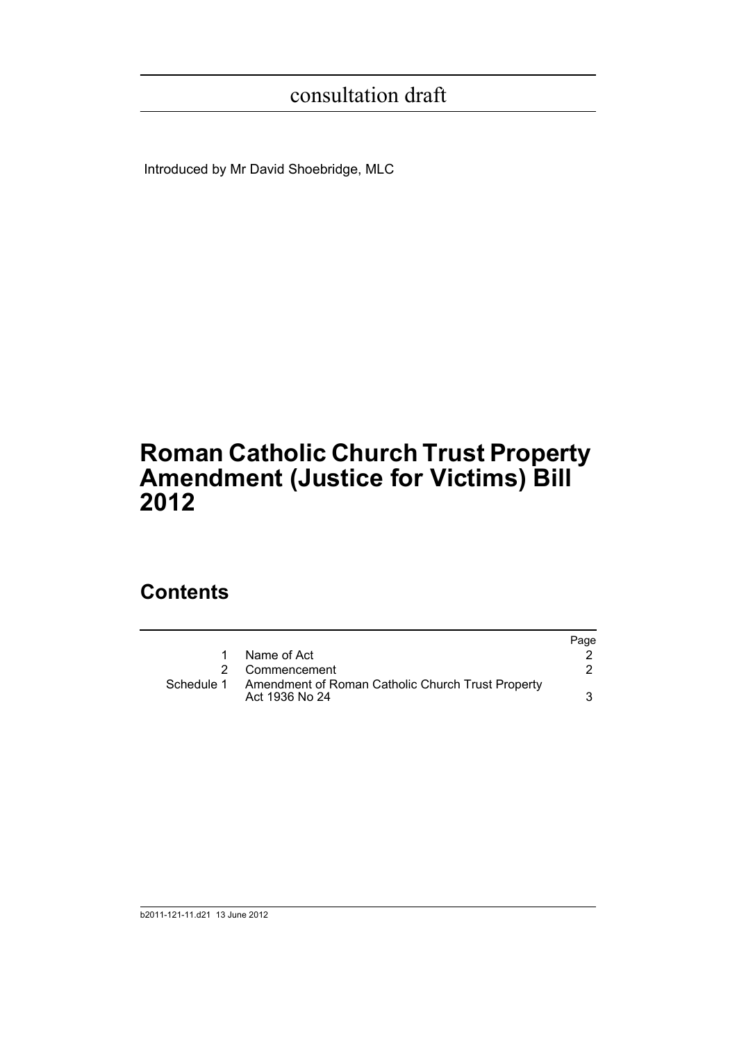Introduced by Mr David Shoebridge, MLC

# **Roman Catholic Church Trust Property Amendment (Justice for Victims) Bill 2012**

## **Contents**

|            |                                                                     | Page |
|------------|---------------------------------------------------------------------|------|
| 1          | Name of Act                                                         |      |
|            | 2 Commencement                                                      |      |
| Schedule 1 | Amendment of Roman Catholic Church Trust Property<br>Act 1936 No 24 |      |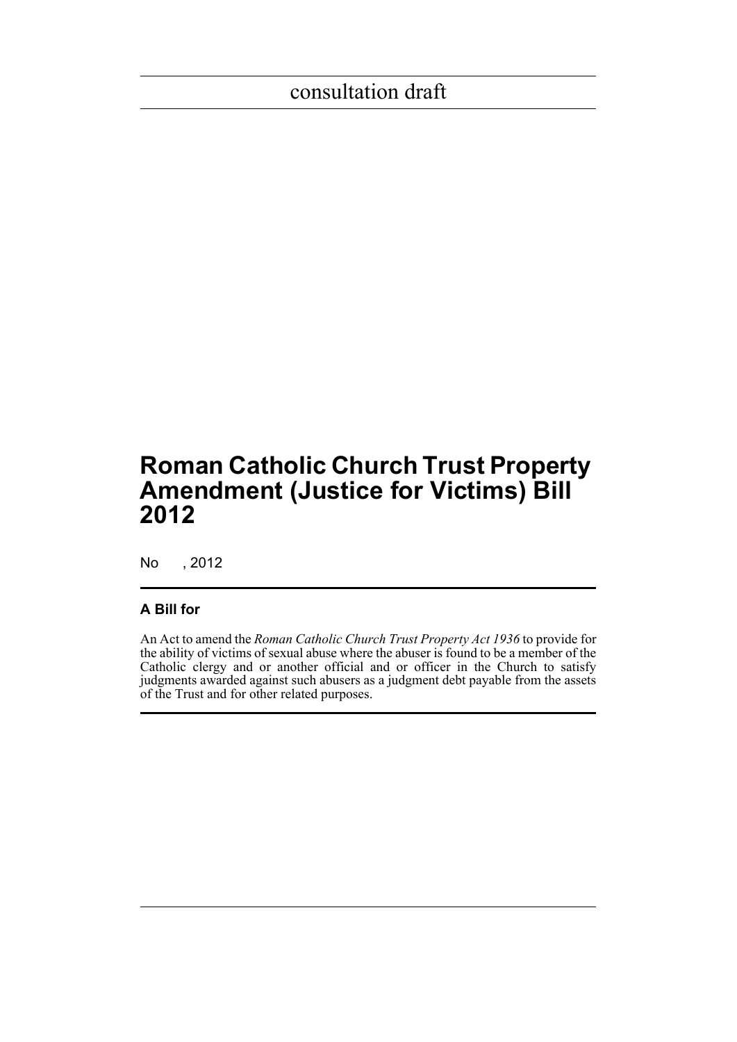## **Roman Catholic Church Trust Property Amendment (Justice for Victims) Bill 2012**

No , 2012

### **A Bill for**

An Act to amend the *Roman Catholic Church Trust Property Act 1936* to provide for the ability of victims of sexual abuse where the abuser is found to be a member of the Catholic clergy and or another official and or officer in the Church to satisfy judgments awarded against such abusers as a judgment debt payable from the assets of the Trust and for other related purposes.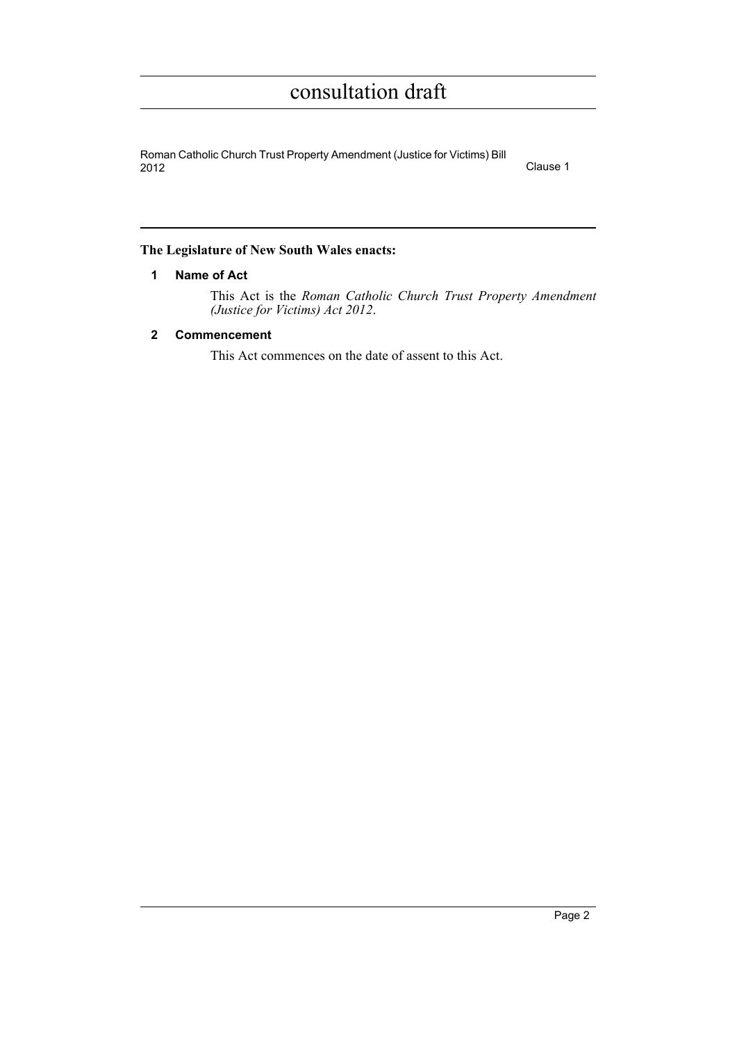Roman Catholic Church Trust Property Amendment (Justice for Victims) Bill 2012 Clause 1

#### <span id="page-4-0"></span>**The Legislature of New South Wales enacts:**

#### **1 Name of Act**

This Act is the *Roman Catholic Church Trust Property Amendment (Justice for Victims) Act 2012*.

### <span id="page-4-1"></span>**2 Commencement**

This Act commences on the date of assent to this Act.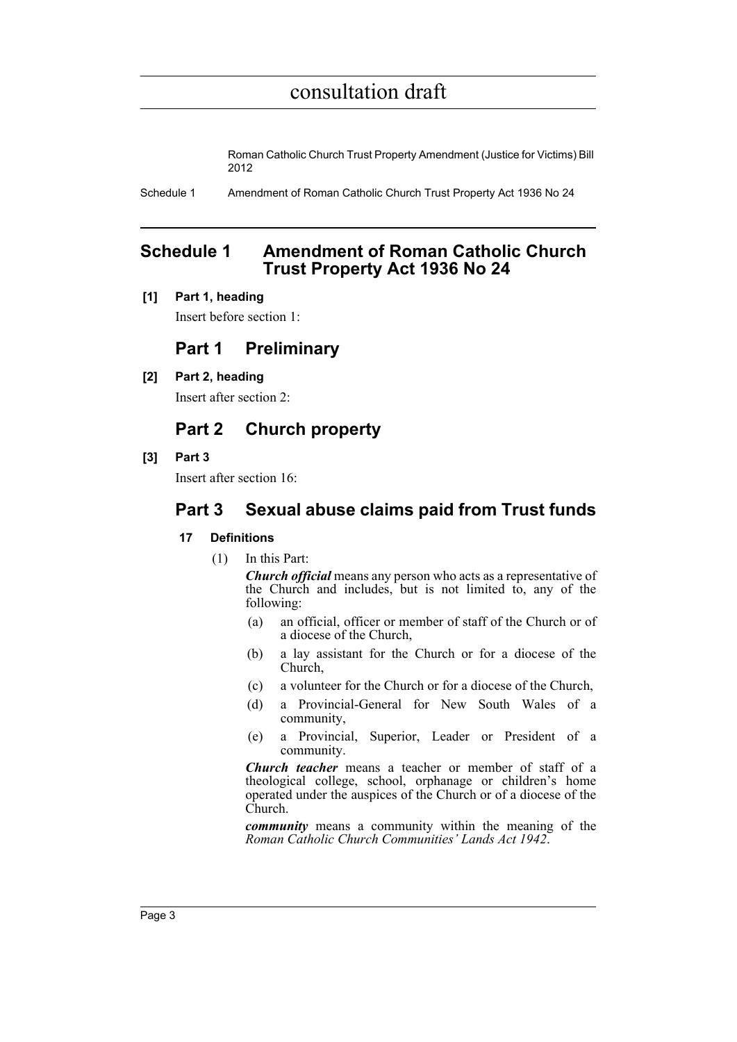Roman Catholic Church Trust Property Amendment (Justice for Victims) Bill 2012

Schedule 1 Amendment of Roman Catholic Church Trust Property Act 1936 No 24

### <span id="page-5-0"></span>**Schedule 1 Amendment of Roman Catholic Church Trust Property Act 1936 No 24**

#### **[1] Part 1, heading**

Insert before section 1:

### **Part 1 Preliminary**

**[2] Part 2, heading**

Insert after section 2:

### **Part 2 Church property**

**[3] Part 3**

Insert after section 16:

### **Part 3 Sexual abuse claims paid from Trust funds**

#### **17 Definitions**

(1) In this Part:

*Church official* means any person who acts as a representative of the Church and includes, but is not limited to, any of the following:

- (a) an official, officer or member of staff of the Church or of a diocese of the Church,
- (b) a lay assistant for the Church or for a diocese of the Church,
- (c) a volunteer for the Church or for a diocese of the Church,
- (d) a Provincial-General for New South Wales of a community,
- (e) a Provincial, Superior, Leader or President of a community.

*Church teacher* means a teacher or member of staff of a theological college, school, orphanage or children's home operated under the auspices of the Church or of a diocese of the Church.

*community* means a community within the meaning of the *Roman Catholic Church Communities' Lands Act 1942*.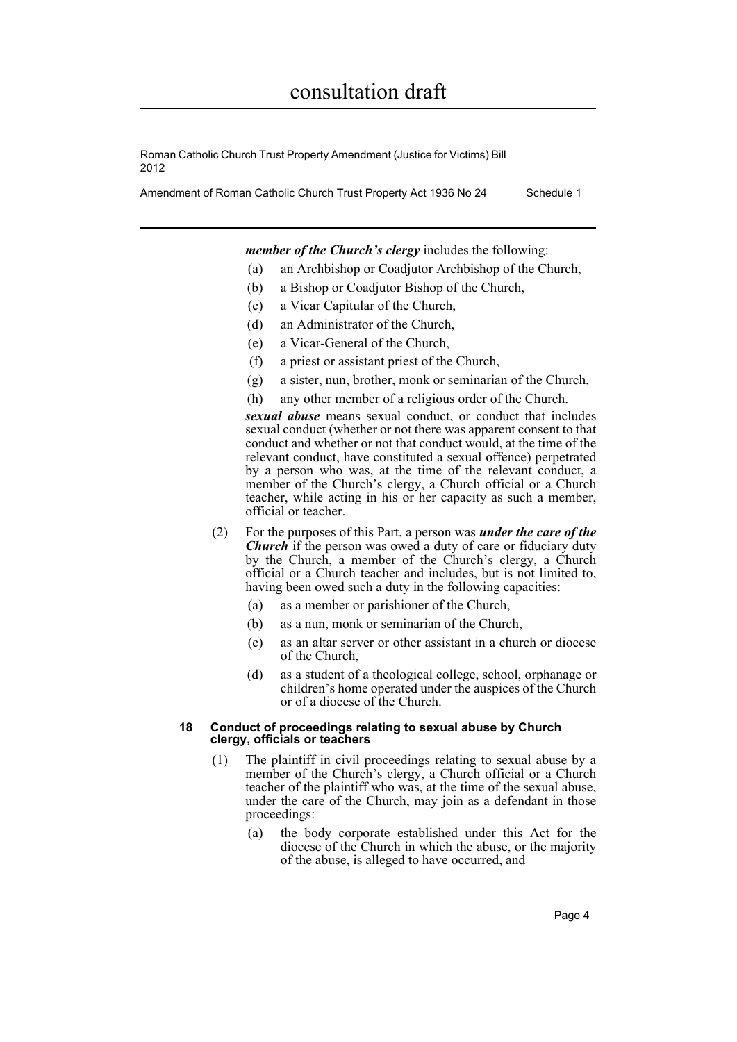Roman Catholic Church Trust Property Amendment (Justice for Victims) Bill 2012

Amendment of Roman Catholic Church Trust Property Act 1936 No 24 Schedule 1

*member of the Church's clergy* includes the following:

- (a) an Archbishop or Coadjutor Archbishop of the Church,
- (b) a Bishop or Coadjutor Bishop of the Church,
- (c) a Vicar Capitular of the Church,
- (d) an Administrator of the Church,
- (e) a Vicar-General of the Church,
- (f) a priest or assistant priest of the Church,
- (g) a sister, nun, brother, monk or seminarian of the Church,
- (h) any other member of a religious order of the Church.

*sexual abuse* means sexual conduct, or conduct that includes sexual conduct (whether or not there was apparent consent to that conduct and whether or not that conduct would, at the time of the relevant conduct, have constituted a sexual offence) perpetrated by a person who was, at the time of the relevant conduct, a member of the Church's clergy, a Church official or a Church teacher, while acting in his or her capacity as such a member, official or teacher.

- (2) For the purposes of this Part, a person was *under the care of the Church* if the person was owed a duty of care or fiduciary duty by the Church, a member of the Church's clergy, a Church official or a Church teacher and includes, but is not limited to, having been owed such a duty in the following capacities:
	- (a) as a member or parishioner of the Church,
	- (b) as a nun, monk or seminarian of the Church,
	- (c) as an altar server or other assistant in a church or diocese of the Church,
	- (d) as a student of a theological college, school, orphanage or children's home operated under the auspices of the Church or of a diocese of the Church.

#### **18 Conduct of proceedings relating to sexual abuse by Church clergy, officials or teachers**

- (1) The plaintiff in civil proceedings relating to sexual abuse by a member of the Church's clergy, a Church official or a Church teacher of the plaintiff who was, at the time of the sexual abuse, under the care of the Church, may join as a defendant in those proceedings:
	- (a) the body corporate established under this Act for the diocese of the Church in which the abuse, or the majority of the abuse, is alleged to have occurred, and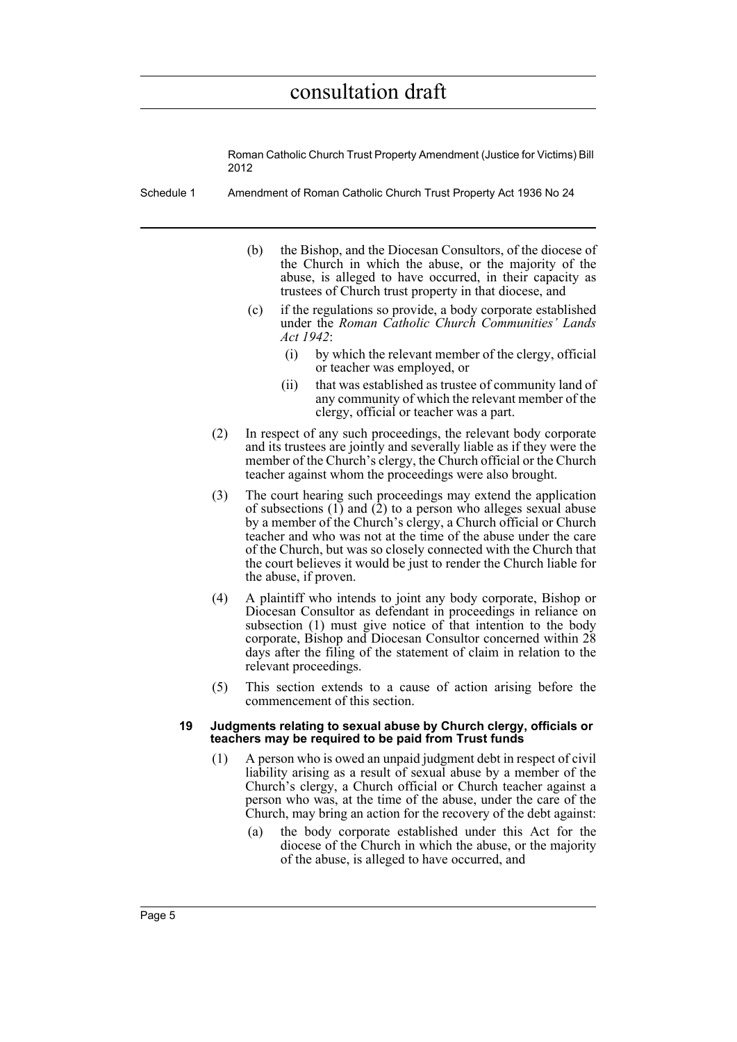Roman Catholic Church Trust Property Amendment (Justice for Victims) Bill 2012

- Schedule 1 Amendment of Roman Catholic Church Trust Property Act 1936 No 24
	- (b) the Bishop, and the Diocesan Consultors, of the diocese of the Church in which the abuse, or the majority of the abuse, is alleged to have occurred, in their capacity as trustees of Church trust property in that diocese, and
	- (c) if the regulations so provide, a body corporate established under the *Roman Catholic Church Communities' Lands Act 1942*:
		- (i) by which the relevant member of the clergy, official or teacher was employed, or
		- (ii) that was established as trustee of community land of any community of which the relevant member of the clergy, official or teacher was a part.
	- (2) In respect of any such proceedings, the relevant body corporate and its trustees are jointly and severally liable as if they were the member of the Church's clergy, the Church official or the Church teacher against whom the proceedings were also brought.
	- (3) The court hearing such proceedings may extend the application of subsections  $(1)$  and  $(2)$  to a person who alleges sexual abuse by a member of the Church's clergy, a Church official or Church teacher and who was not at the time of the abuse under the care of the Church, but was so closely connected with the Church that the court believes it would be just to render the Church liable for the abuse, if proven.
	- (4) A plaintiff who intends to joint any body corporate, Bishop or Diocesan Consultor as defendant in proceedings in reliance on subsection (1) must give notice of that intention to the body corporate, Bishop and Diocesan Consultor concerned within 28 days after the filing of the statement of claim in relation to the relevant proceedings.
	- (5) This section extends to a cause of action arising before the commencement of this section.

#### **19 Judgments relating to sexual abuse by Church clergy, officials or teachers may be required to be paid from Trust funds**

- (1) A person who is owed an unpaid judgment debt in respect of civil liability arising as a result of sexual abuse by a member of the Church's clergy, a Church official or Church teacher against a person who was, at the time of the abuse, under the care of the Church, may bring an action for the recovery of the debt against:
	- (a) the body corporate established under this Act for the diocese of the Church in which the abuse, or the majority of the abuse, is alleged to have occurred, and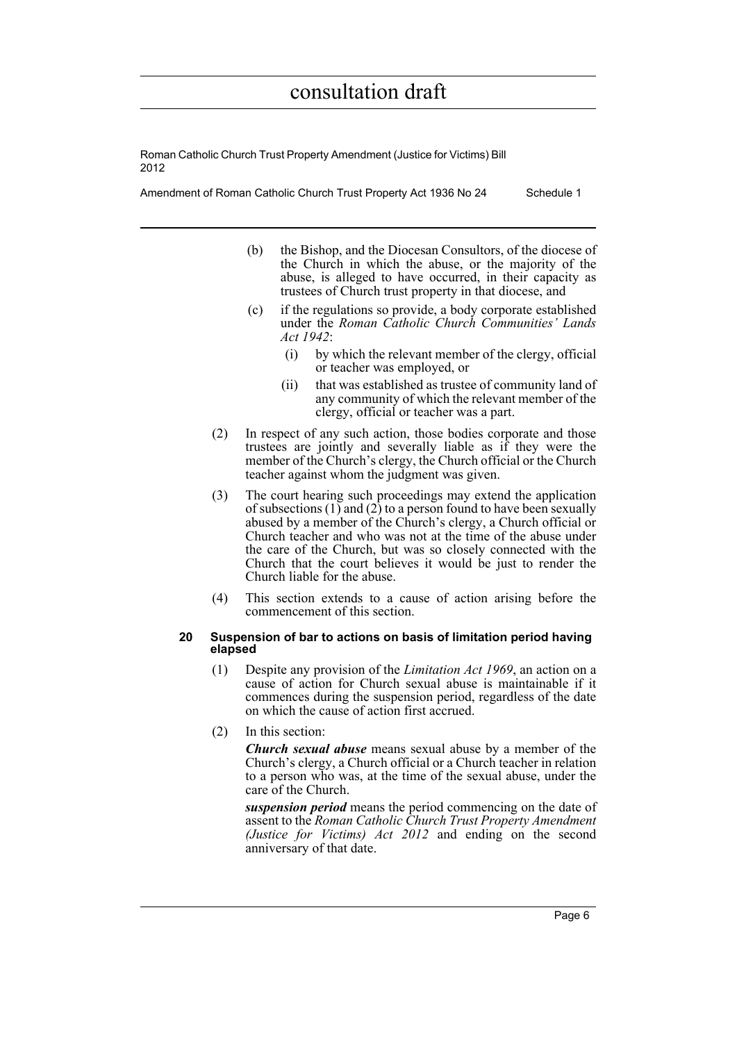Roman Catholic Church Trust Property Amendment (Justice for Victims) Bill 2012

Amendment of Roman Catholic Church Trust Property Act 1936 No 24 Schedule 1

- (b) the Bishop, and the Diocesan Consultors, of the diocese of the Church in which the abuse, or the majority of the abuse, is alleged to have occurred, in their capacity as trustees of Church trust property in that diocese, and
- (c) if the regulations so provide, a body corporate established under the *Roman Catholic Church Communities' Lands Act 1942*:
	- (i) by which the relevant member of the clergy, official or teacher was employed, or
	- (ii) that was established as trustee of community land of any community of which the relevant member of the clergy, official or teacher was a part.
- (2) In respect of any such action, those bodies corporate and those trustees are jointly and severally liable as if they were the member of the Church's clergy, the Church official or the Church teacher against whom the judgment was given.
- (3) The court hearing such proceedings may extend the application of subsections  $(1)$  and  $(2)$  to a person found to have been sexually abused by a member of the Church's clergy, a Church official or Church teacher and who was not at the time of the abuse under the care of the Church, but was so closely connected with the Church that the court believes it would be just to render the Church liable for the abuse.
- (4) This section extends to a cause of action arising before the commencement of this section.

#### **20 Suspension of bar to actions on basis of limitation period having elapsed**

- (1) Despite any provision of the *Limitation Act 1969*, an action on a cause of action for Church sexual abuse is maintainable if it commences during the suspension period, regardless of the date on which the cause of action first accrued.
- (2) In this section:

*Church sexual abuse* means sexual abuse by a member of the Church's clergy, a Church official or a Church teacher in relation to a person who was, at the time of the sexual abuse, under the care of the Church.

*suspension period* means the period commencing on the date of assent to the *Roman Catholic Church Trust Property Amendment (Justice for Victims) Act 2012* and ending on the second anniversary of that date.